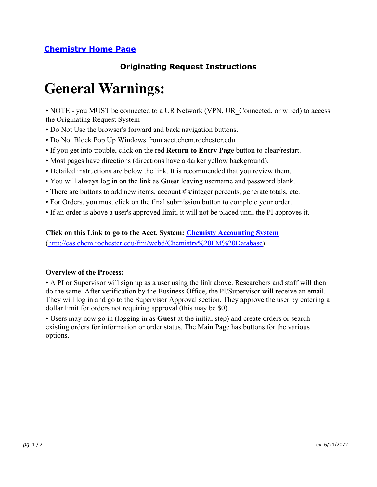## **Originating Request Instructions**

# **General Warnings:**

• NOTE - you MUST be connected to a UR Network (VPN, UR Connected, or wired) to access the Originating Request System

- Do Not Use the browser's forward and back navigation buttons.
- Do Not Block Pop Up Windows from acct.chem.rochester.edu
- If you get into trouble, click on the red **Return to Entry Page** button to clear/restart.
- Most pages have directions (directions have a darker yellow background).
- Detailed instructions are below the link. It is recommended that you review them.
- You will always log in on the link as **Guest** leaving username and password blank.
- There are buttons to add new items, account #'s/integer percents, generate totals, etc.
- For Orders, you must click on the final submission button to complete your order.
- If an order is above a user's approved limit, it will not be placed until the PI approves it.

### **Click on this Link to go to the Acct. System: Chemisty Accounting System**

(http://cas.chem.rochester.edu/fmi/webd/Chemistry%20FM%20Database)

#### **Overview of the Process:**

• A PI or Supervisor will sign up as a user using the link above. Researchers and staff will then do the same. After verification by the Business Office, the PI/Supervisor will receive an email. They will log in and go to the Supervisor Approval section. They approve the user by entering a dollar limit for orders not requiring approval (this may be \$0).

• Users may now go in (logging in as **Guest** at the initial step) and create orders or search existing orders for information or order status. The Main Page has buttons for the various options.